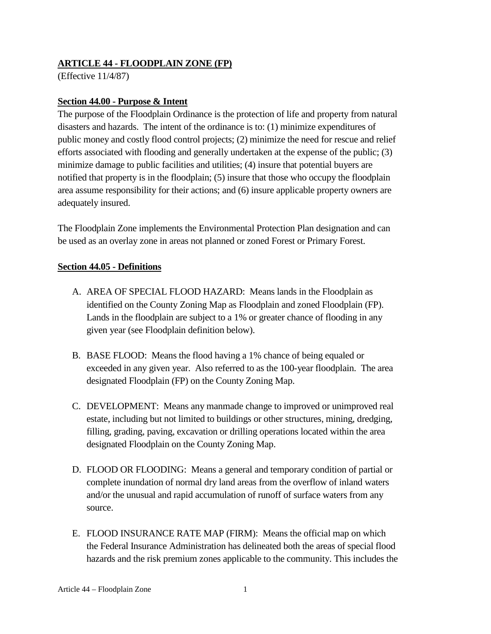### **ARTICLE 44 - FLOODPLAIN ZONE (FP)**

(Effective 11/4/87)

#### **Section 44.00 - Purpose & Intent**

The purpose of the Floodplain Ordinance is the protection of life and property from natural disasters and hazards. The intent of the ordinance is to: (1) minimize expenditures of public money and costly flood control projects; (2) minimize the need for rescue and relief efforts associated with flooding and generally undertaken at the expense of the public; (3) minimize damage to public facilities and utilities; (4) insure that potential buyers are notified that property is in the floodplain; (5) insure that those who occupy the floodplain area assume responsibility for their actions; and (6) insure applicable property owners are adequately insured.

The Floodplain Zone implements the Environmental Protection Plan designation and can be used as an overlay zone in areas not planned or zoned Forest or Primary Forest.

#### **Section 44.05 - Definitions**

- A. AREA OF SPECIAL FLOOD HAZARD: Means lands in the Floodplain as identified on the County Zoning Map as Floodplain and zoned Floodplain (FP). Lands in the floodplain are subject to a 1% or greater chance of flooding in any given year (see Floodplain definition below).
- B. BASE FLOOD: Means the flood having a 1% chance of being equaled or exceeded in any given year. Also referred to as the 100-year floodplain. The area designated Floodplain (FP) on the County Zoning Map.
- C. DEVELOPMENT: Means any manmade change to improved or unimproved real estate, including but not limited to buildings or other structures, mining, dredging, filling, grading, paving, excavation or drilling operations located within the area designated Floodplain on the County Zoning Map.
- D. FLOOD OR FLOODING: Means a general and temporary condition of partial or complete inundation of normal dry land areas from the overflow of inland waters and/or the unusual and rapid accumulation of runoff of surface waters from any source.
- E. FLOOD INSURANCE RATE MAP (FIRM): Means the official map on which the Federal Insurance Administration has delineated both the areas of special flood hazards and the risk premium zones applicable to the community. This includes the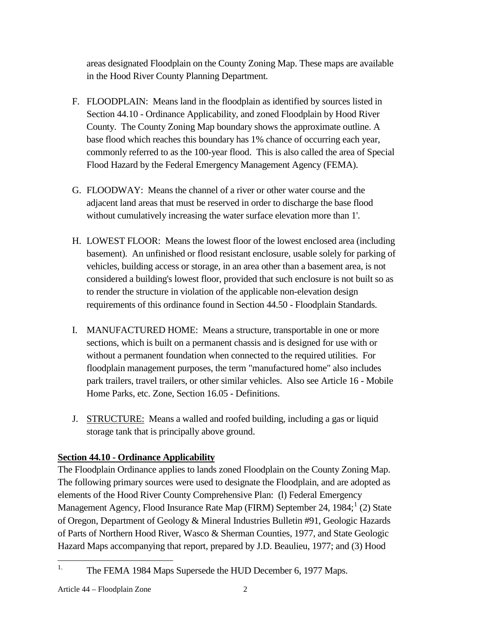areas designated Floodplain on the County Zoning Map. These maps are available in the Hood River County Planning Department.

- F. FLOODPLAIN: Means land in the floodplain as identified by sources listed in Section 44.10 - Ordinance Applicability, and zoned Floodplain by Hood River County. The County Zoning Map boundary shows the approximate outline. A base flood which reaches this boundary has 1% chance of occurring each year, commonly referred to as the 100-year flood. This is also called the area of Special Flood Hazard by the Federal Emergency Management Agency (FEMA).
- G. FLOODWAY: Means the channel of a river or other water course and the adjacent land areas that must be reserved in order to discharge the base flood without cumulatively increasing the water surface elevation more than 1'.
- H. LOWEST FLOOR: Means the lowest floor of the lowest enclosed area (including basement). An unfinished or flood resistant enclosure, usable solely for parking of vehicles, building access or storage, in an area other than a basement area, is not considered a building's lowest floor, provided that such enclosure is not built so as to render the structure in violation of the applicable non-elevation design requirements of this ordinance found in Section 44.50 - Floodplain Standards.
- I. MANUFACTURED HOME: Means a structure, transportable in one or more sections, which is built on a permanent chassis and is designed for use with or without a permanent foundation when connected to the required utilities. For floodplain management purposes, the term "manufactured home" also includes park trailers, travel trailers, or other similar vehicles. Also see Article 16 - Mobile Home Parks, etc. Zone, Section 16.05 - Definitions.
- J. STRUCTURE: Means a walled and roofed building, including a gas or liquid storage tank that is principally above ground.

# **Section 44.10 - Ordinance Applicability**

The Floodplain Ordinance applies to lands zoned Floodplain on the County Zoning Map. The following primary sources were used to designate the Floodplain, and are adopted as elements of the Hood River County Comprehensive Plan: (l) Federal Emergency Management Agency, Flood Insurance Rate Map (FIRM) September 24,  $1984$  $1984$ ; (2) State of Oregon, Department of Geology & Mineral Industries Bulletin #91, Geologic Hazards of Parts of Northern Hood River, Wasco & Sherman Counties, 1977, and State Geologic Hazard Maps accompanying that report, prepared by J.D. Beaulieu, 1977; and (3) Hood

<span id="page-1-0"></span><sup>&</sup>lt;sup>1.</sup> The FEMA 1984 Maps Supersede the HUD December 6, 1977 Maps.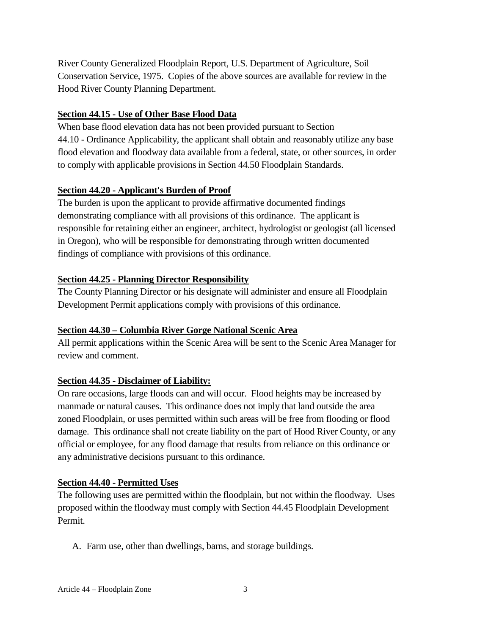River County Generalized Floodplain Report, U.S. Department of Agriculture, Soil Conservation Service, 1975. Copies of the above sources are available for review in the Hood River County Planning Department.

#### **Section 44.15 - Use of Other Base Flood Data**

When base flood elevation data has not been provided pursuant to Section 44.10 - Ordinance Applicability, the applicant shall obtain and reasonably utilize any base flood elevation and floodway data available from a federal, state, or other sources, in order to comply with applicable provisions in Section 44.50 Floodplain Standards.

## **Section 44.20 - Applicant's Burden of Proof**

The burden is upon the applicant to provide affirmative documented findings demonstrating compliance with all provisions of this ordinance. The applicant is responsible for retaining either an engineer, architect, hydrologist or geologist (all licensed in Oregon), who will be responsible for demonstrating through written documented findings of compliance with provisions of this ordinance.

### **Section 44.25 - Planning Director Responsibility**

The County Planning Director or his designate will administer and ensure all Floodplain Development Permit applications comply with provisions of this ordinance.

## **Section 44.30 – Columbia River Gorge National Scenic Area**

All permit applications within the Scenic Area will be sent to the Scenic Area Manager for review and comment.

## **Section 44.35 - Disclaimer of Liability:**

On rare occasions, large floods can and will occur. Flood heights may be increased by manmade or natural causes. This ordinance does not imply that land outside the area zoned Floodplain, or uses permitted within such areas will be free from flooding or flood damage. This ordinance shall not create liability on the part of Hood River County, or any official or employee, for any flood damage that results from reliance on this ordinance or any administrative decisions pursuant to this ordinance.

#### **Section 44.40 - Permitted Uses**

The following uses are permitted within the floodplain, but not within the floodway. Uses proposed within the floodway must comply with Section 44.45 Floodplain Development Permit.

A. Farm use, other than dwellings, barns, and storage buildings.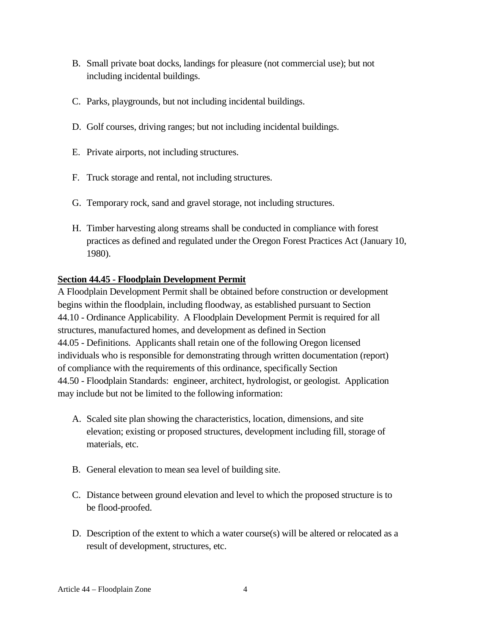- B. Small private boat docks, landings for pleasure (not commercial use); but not including incidental buildings.
- C. Parks, playgrounds, but not including incidental buildings.
- D. Golf courses, driving ranges; but not including incidental buildings.
- E. Private airports, not including structures.
- F. Truck storage and rental, not including structures.
- G. Temporary rock, sand and gravel storage, not including structures.
- H. Timber harvesting along streams shall be conducted in compliance with forest practices as defined and regulated under the Oregon Forest Practices Act (January 10, 1980).

#### **Section 44.45 - Floodplain Development Permit**

A Floodplain Development Permit shall be obtained before construction or development begins within the floodplain, including floodway, as established pursuant to Section 44.10 - Ordinance Applicability. A Floodplain Development Permit is required for all structures, manufactured homes, and development as defined in Section 44.05 - Definitions. Applicants shall retain one of the following Oregon licensed individuals who is responsible for demonstrating through written documentation (report) of compliance with the requirements of this ordinance, specifically Section 44.50 - Floodplain Standards: engineer, architect, hydrologist, or geologist. Application may include but not be limited to the following information:

- A. Scaled site plan showing the characteristics, location, dimensions, and site elevation; existing or proposed structures, development including fill, storage of materials, etc.
- B. General elevation to mean sea level of building site.
- C. Distance between ground elevation and level to which the proposed structure is to be flood-proofed.
- D. Description of the extent to which a water course(s) will be altered or relocated as a result of development, structures, etc.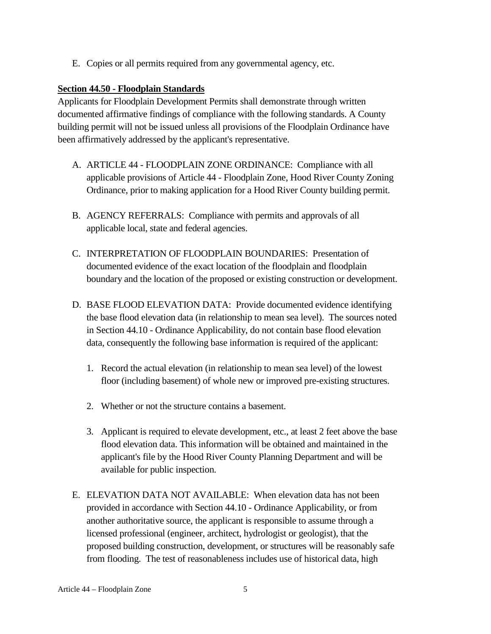E. Copies or all permits required from any governmental agency, etc.

### **Section 44.50 - Floodplain Standards**

Applicants for Floodplain Development Permits shall demonstrate through written documented affirmative findings of compliance with the following standards. A County building permit will not be issued unless all provisions of the Floodplain Ordinance have been affirmatively addressed by the applicant's representative.

- A. ARTICLE 44 FLOODPLAIN ZONE ORDINANCE: Compliance with all applicable provisions of Article 44 - Floodplain Zone, Hood River County Zoning Ordinance, prior to making application for a Hood River County building permit.
- B. AGENCY REFERRALS: Compliance with permits and approvals of all applicable local, state and federal agencies.
- C. INTERPRETATION OF FLOODPLAIN BOUNDARIES: Presentation of documented evidence of the exact location of the floodplain and floodplain boundary and the location of the proposed or existing construction or development.
- D. BASE FLOOD ELEVATION DATA: Provide documented evidence identifying the base flood elevation data (in relationship to mean sea level). The sources noted in Section 44.10 - Ordinance Applicability, do not contain base flood elevation data, consequently the following base information is required of the applicant:
	- 1. Record the actual elevation (in relationship to mean sea level) of the lowest floor (including basement) of whole new or improved pre-existing structures.
	- 2. Whether or not the structure contains a basement.
	- 3. Applicant is required to elevate development, etc., at least 2 feet above the base flood elevation data. This information will be obtained and maintained in the applicant's file by the Hood River County Planning Department and will be available for public inspection.
- E. ELEVATION DATA NOT AVAILABLE: When elevation data has not been provided in accordance with Section 44.10 - Ordinance Applicability, or from another authoritative source, the applicant is responsible to assume through a licensed professional (engineer, architect, hydrologist or geologist), that the proposed building construction, development, or structures will be reasonably safe from flooding. The test of reasonableness includes use of historical data, high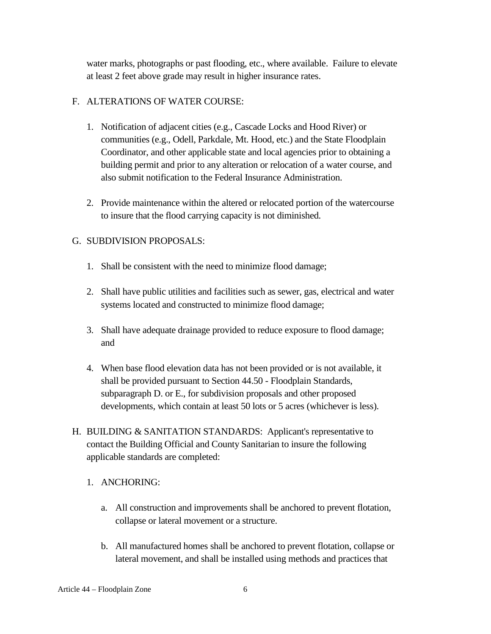water marks, photographs or past flooding, etc., where available. Failure to elevate at least 2 feet above grade may result in higher insurance rates.

#### F. ALTERATIONS OF WATER COURSE:

- 1. Notification of adjacent cities (e.g., Cascade Locks and Hood River) or communities (e.g., Odell, Parkdale, Mt. Hood, etc.) and the State Floodplain Coordinator, and other applicable state and local agencies prior to obtaining a building permit and prior to any alteration or relocation of a water course, and also submit notification to the Federal Insurance Administration.
- 2. Provide maintenance within the altered or relocated portion of the watercourse to insure that the flood carrying capacity is not diminished.

### G. SUBDIVISION PROPOSALS:

- 1. Shall be consistent with the need to minimize flood damage;
- 2. Shall have public utilities and facilities such as sewer, gas, electrical and water systems located and constructed to minimize flood damage;
- 3. Shall have adequate drainage provided to reduce exposure to flood damage; and
- 4. When base flood elevation data has not been provided or is not available, it shall be provided pursuant to Section 44.50 - Floodplain Standards, subparagraph D. or E., for subdivision proposals and other proposed developments, which contain at least 50 lots or 5 acres (whichever is less).
- H. BUILDING & SANITATION STANDARDS: Applicant's representative to contact the Building Official and County Sanitarian to insure the following applicable standards are completed:
	- 1. ANCHORING:
		- a. All construction and improvements shall be anchored to prevent flotation, collapse or lateral movement or a structure.
		- b. All manufactured homes shall be anchored to prevent flotation, collapse or lateral movement, and shall be installed using methods and practices that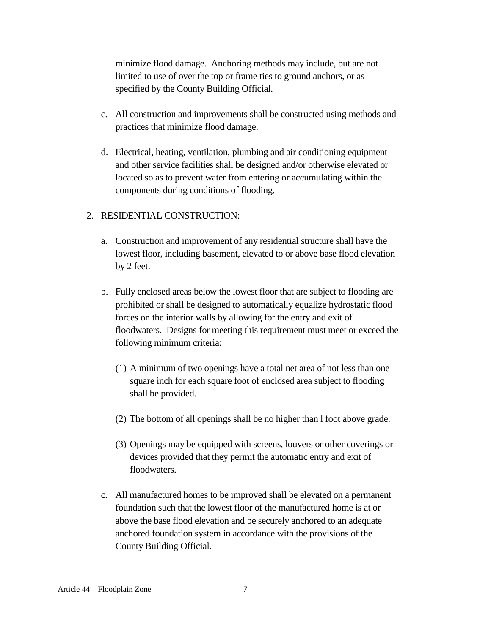minimize flood damage. Anchoring methods may include, but are not limited to use of over the top or frame ties to ground anchors, or as specified by the County Building Official.

- c. All construction and improvements shall be constructed using methods and practices that minimize flood damage.
- d. Electrical, heating, ventilation, plumbing and air conditioning equipment and other service facilities shall be designed and/or otherwise elevated or located so as to prevent water from entering or accumulating within the components during conditions of flooding.

#### 2. RESIDENTIAL CONSTRUCTION:

- a. Construction and improvement of any residential structure shall have the lowest floor, including basement, elevated to or above base flood elevation by 2 feet.
- b. Fully enclosed areas below the lowest floor that are subject to flooding are prohibited or shall be designed to automatically equalize hydrostatic flood forces on the interior walls by allowing for the entry and exit of floodwaters. Designs for meeting this requirement must meet or exceed the following minimum criteria:
	- (1) A minimum of two openings have a total net area of not less than one square inch for each square foot of enclosed area subject to flooding shall be provided.
	- (2) The bottom of all openings shall be no higher than l foot above grade.
	- (3) Openings may be equipped with screens, louvers or other coverings or devices provided that they permit the automatic entry and exit of floodwaters.
- c. All manufactured homes to be improved shall be elevated on a permanent foundation such that the lowest floor of the manufactured home is at or above the base flood elevation and be securely anchored to an adequate anchored foundation system in accordance with the provisions of the County Building Official.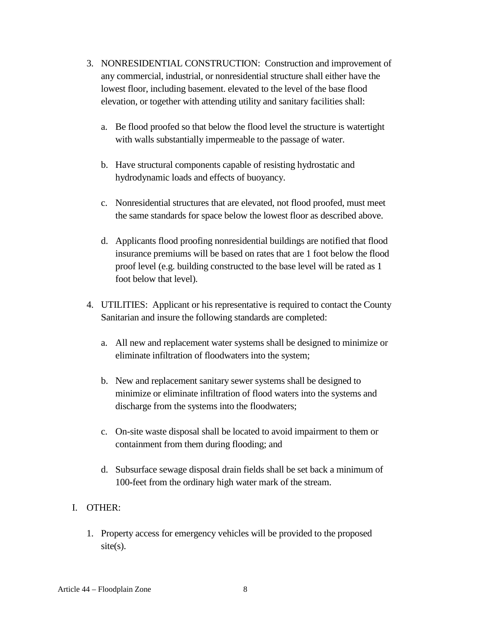- 3. NONRESIDENTIAL CONSTRUCTION: Construction and improvement of any commercial, industrial, or nonresidential structure shall either have the lowest floor, including basement. elevated to the level of the base flood elevation, or together with attending utility and sanitary facilities shall:
	- a. Be flood proofed so that below the flood level the structure is watertight with walls substantially impermeable to the passage of water.
	- b. Have structural components capable of resisting hydrostatic and hydrodynamic loads and effects of buoyancy.
	- c. Nonresidential structures that are elevated, not flood proofed, must meet the same standards for space below the lowest floor as described above.
	- d. Applicants flood proofing nonresidential buildings are notified that flood insurance premiums will be based on rates that are 1 foot below the flood proof level (e.g. building constructed to the base level will be rated as 1 foot below that level).
- 4. UTILITIES: Applicant or his representative is required to contact the County Sanitarian and insure the following standards are completed:
	- a. All new and replacement water systems shall be designed to minimize or eliminate infiltration of floodwaters into the system;
	- b. New and replacement sanitary sewer systems shall be designed to minimize or eliminate infiltration of flood waters into the systems and discharge from the systems into the floodwaters;
	- c. On-site waste disposal shall be located to avoid impairment to them or containment from them during flooding; and
	- d. Subsurface sewage disposal drain fields shall be set back a minimum of 100**-**feet from the ordinary high water mark of the stream.

## I. OTHER:

1. Property access for emergency vehicles will be provided to the proposed  $site(s)$ .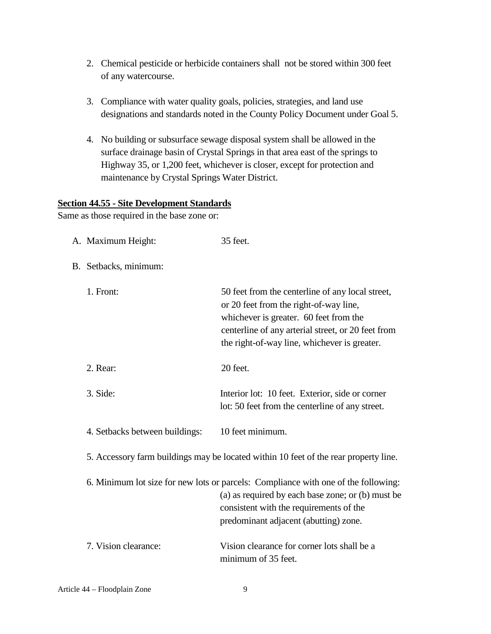- 2. Chemical pesticide or herbicide containers shall not be stored within 300 feet of any watercourse.
- 3. Compliance with water quality goals, policies, strategies, and land use designations and standards noted in the County Policy Document under Goal 5.
- 4. No building or subsurface sewage disposal system shall be allowed in the surface drainage basin of Crystal Springs in that area east of the springs to Highway 35, or 1,200 feet, whichever is closer, except for protection and maintenance by Crystal Springs Water District.

#### **Section 44.55 - Site Development Standards**

Same as those required in the base zone or:

| A. Maximum Height:                                                                   | 35 feet.                                                                                                                                                                                                                                   |
|--------------------------------------------------------------------------------------|--------------------------------------------------------------------------------------------------------------------------------------------------------------------------------------------------------------------------------------------|
| B. Setbacks, minimum:                                                                |                                                                                                                                                                                                                                            |
| 1. Front:                                                                            | 50 feet from the centerline of any local street,<br>or 20 feet from the right-of-way line,<br>whichever is greater. 60 feet from the<br>centerline of any arterial street, or 20 feet from<br>the right-of-way line, whichever is greater. |
| 2. Rear:                                                                             | 20 feet.                                                                                                                                                                                                                                   |
| 3. Side:                                                                             | Interior lot: 10 feet. Exterior, side or corner<br>lot: 50 feet from the centerline of any street.                                                                                                                                         |
| 4. Setbacks between buildings:                                                       | 10 feet minimum.                                                                                                                                                                                                                           |
| 5. Accessory farm buildings may be located within 10 feet of the rear property line. |                                                                                                                                                                                                                                            |
|                                                                                      | 6. Minimum lot size for new lots or parcels: Compliance with one of the following:<br>(a) as required by each base zone; or (b) must be<br>consistent with the requirements of the<br>predominant adjacent (abutting) zone.                |
| 7. Vision clearance:                                                                 | Vision clearance for corner lots shall be a<br>minimum of 35 feet.                                                                                                                                                                         |